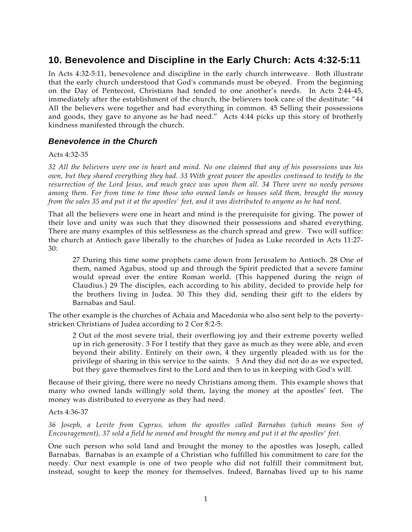# **10. Benevolence and Discipline in the Early Church: Acts 4:32-5:11**

In Acts 4:32-5:11, benevolence and discipline in the early church interweave. Both illustrate that the early church understood that God's commands must be obeyed. From the beginning on the Day of Pentecost, Christians had tended to one another's needs. In Acts 2:44-45, immediately after the establishment of the church, the believers took care of the destitute: "44 All the believers were together and had everything in common. 45 Selling their possessions and goods, they gave to anyone as he had need." Acts 4:44 picks up this story of brotherly kindness manifested through the church.

### *Benevolence in the Church*

#### Acts 4:32-35

*32 All the believers were one in heart and mind. No one claimed that any of his possessions was his own, but they shared everything they had. 33 With great power the apostles continued to testify to the resurrection of the Lord Jesus, and much grace was upon them all. 34 There were no needy persons among them. For from time to time those who owned lands or houses sold them, brought the money from the sales 35 and put it at the apostles' feet, and it was distributed to anyone as he had need.* 

That all the believers were one in heart and mind is the prerequisite for giving. The power of their love and unity was such that they disowned their possessions and shared everything. There are many examples of this selflessness as the church spread and grew. Two will suffice: the church at Antioch gave liberally to the churches of Judea as Luke recorded in Acts 11:27- 30:

27 During this time some prophets came down from Jerusalem to Antioch. 28 One of them, named Agabus, stood up and through the Spirit predicted that a severe famine would spread over the entire Roman world. (This happened during the reign of Claudius.) 29 The disciples, each according to his ability, decided to provide help for the brothers living in Judea. 30 This they did, sending their gift to the elders by Barnabas and Saul.

The other example is the churches of Achaia and Macedonia who also sent help to the povertystricken Christians of Judea according to 2 Cor 8:2-5:

2 Out of the most severe trial, their overflowing joy and their extreme poverty welled up in rich generosity. 3 For I testify that they gave as much as they were able, and even beyond their ability. Entirely on their own, 4 they urgently pleaded with us for the privilege of sharing in this service to the saints. 5 And they did not do as we expected, but they gave themselves first to the Lord and then to us in keeping with God's will.

Because of their giving, there were no needy Christians among them. This example shows that many who owned lands willingly sold them, laying the money at the apostles' feet. The money was distributed to everyone as they had need.

#### Acts 4:36-37

*36 Joseph, a Levite from Cyprus, whom the apostles called Barnabas (which means Son of Encouragement), 37 sold a field he owned and brought the money and put it at the apostles' feet.* 

One such person who sold land and brought the money to the apostles was Joseph, called Barnabas. Barnabas is an example of a Christian who fulfilled his commitment to care for the needy. Our next example is one of two people who did not fulfill their commitment but, instead, sought to keep the money for themselves. Indeed, Barnabas lived up to his name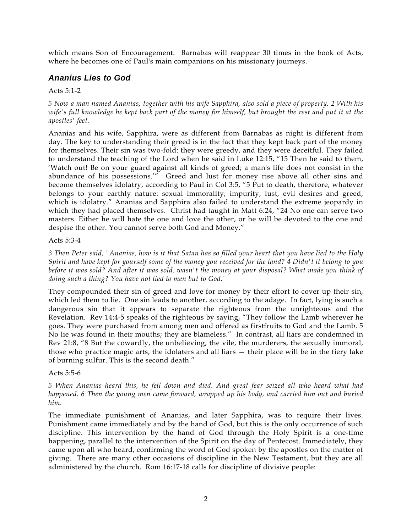which means Son of Encouragement. Barnabas will reappear 30 times in the book of Acts, where he becomes one of Paul's main companions on his missionary journeys.

# *Ananius Lies to God*

### Acts 5:1-2

*5 Now a man named Ananias, together with his wife Sapphira, also sold a piece of property. 2 With his wife's full knowledge he kept back part of the money for himself, but brought the rest and put it at the apostles' feet.* 

Ananias and his wife, Sapphira, were as different from Barnabas as night is different from day. The key to understanding their greed is in the fact that they kept back part of the money for themselves. Their sin was two-fold: they were greedy, and they were deceitful. They failed to understand the teaching of the Lord when he said in Luke 12:15, "15 Then he said to them, 'Watch out! Be on your guard against all kinds of greed; a man's life does not consist in the abundance of his possessions.'" Greed and lust for money rise above all other sins and become themselves idolatry, according to Paul in Col 3:5, "5 Put to death, therefore, whatever belongs to your earthly nature: sexual immorality, impurity, lust, evil desires and greed, which is idolatry." Ananias and Sapphira also failed to understand the extreme jeopardy in which they had placed themselves. Christ had taught in Matt 6:24, "24 No one can serve two masters. Either he will hate the one and love the other, or he will be devoted to the one and despise the other. You cannot serve both God and Money."

#### Acts 5:3-4

*3 Then Peter said, "Ananias, how is it that Satan has so filled your heart that you have lied to the Holy Spirit and have kept for yourself some of the money you received for the land? 4 Didn't it belong to you before it was sold? And after it was sold, wasn't the money at your disposal? What made you think of doing such a thing? You have not lied to men but to God."* 

They compounded their sin of greed and love for money by their effort to cover up their sin, which led them to lie. One sin leads to another, according to the adage. In fact, lying is such a dangerous sin that it appears to separate the righteous from the unrighteous and the Revelation. Rev 14:4-5 speaks of the righteous by saying, "They follow the Lamb wherever he goes. They were purchased from among men and offered as firstfruits to God and the Lamb. 5 No lie was found in their mouths; they are blameless." In contrast, all liars are condemned in Rev 21:8, "8 But the cowardly, the unbelieving, the vile, the murderers, the sexually immoral, those who practice magic arts, the idolaters and all liars — their place will be in the fiery lake of burning sulfur. This is the second death."

### Acts 5:5-6

*5 When Ananias heard this, he fell down and died. And great fear seized all who heard what had happened. 6 Then the young men came forward, wrapped up his body, and carried him out and buried him.* 

The immediate punishment of Ananias, and later Sapphira, was to require their lives. Punishment came immediately and by the hand of God, but this is the only occurrence of such discipline. This intervention by the hand of God through the Holy Spirit is a one-time happening, parallel to the intervention of the Spirit on the day of Pentecost. Immediately, they came upon all who heard, confirming the word of God spoken by the apostles on the matter of giving. There are many other occasions of discipline in the New Testament, but they are all administered by the church. Rom 16:17-18 calls for discipline of divisive people: